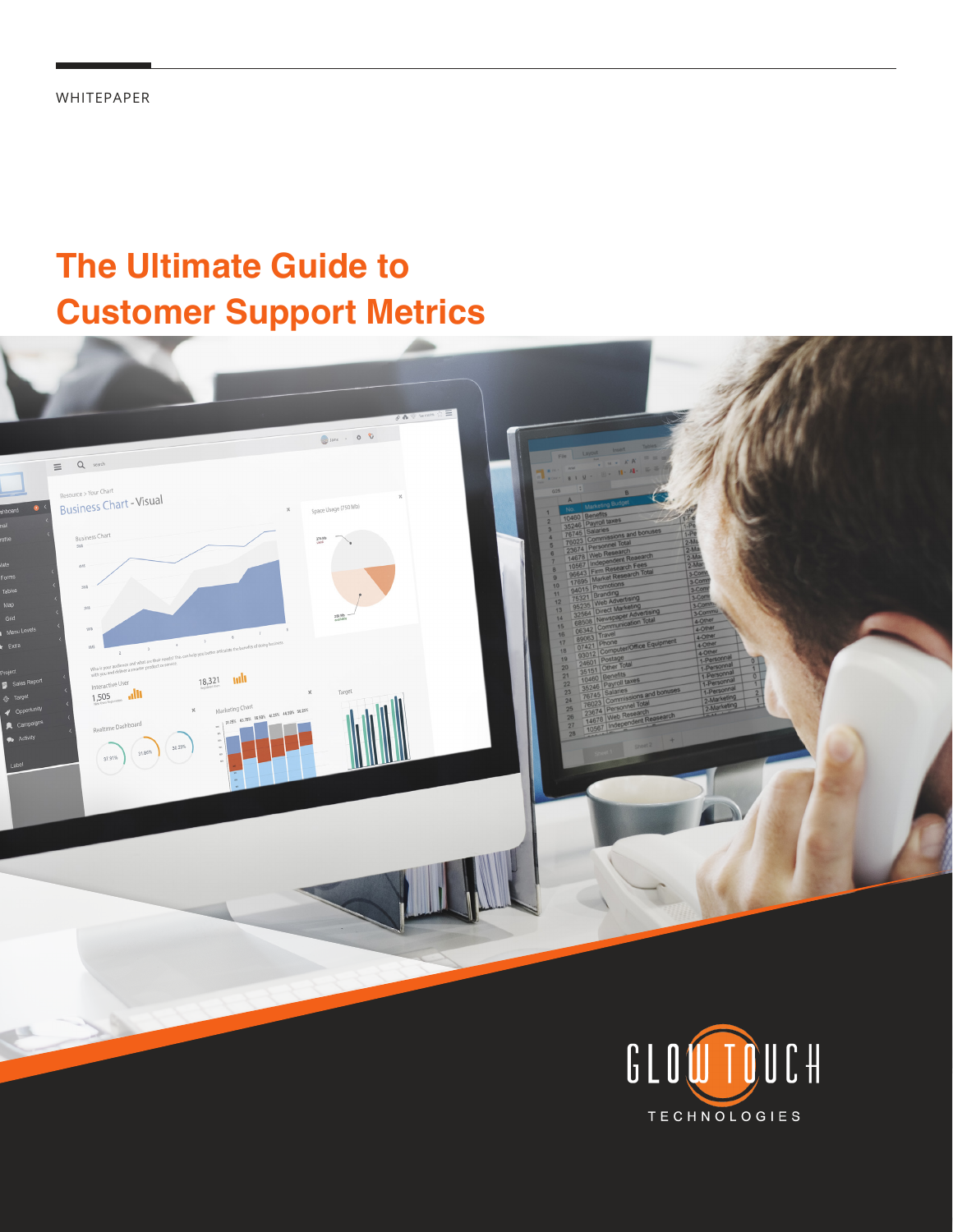## **The Ultimate Guide to Customer Support Metrics**



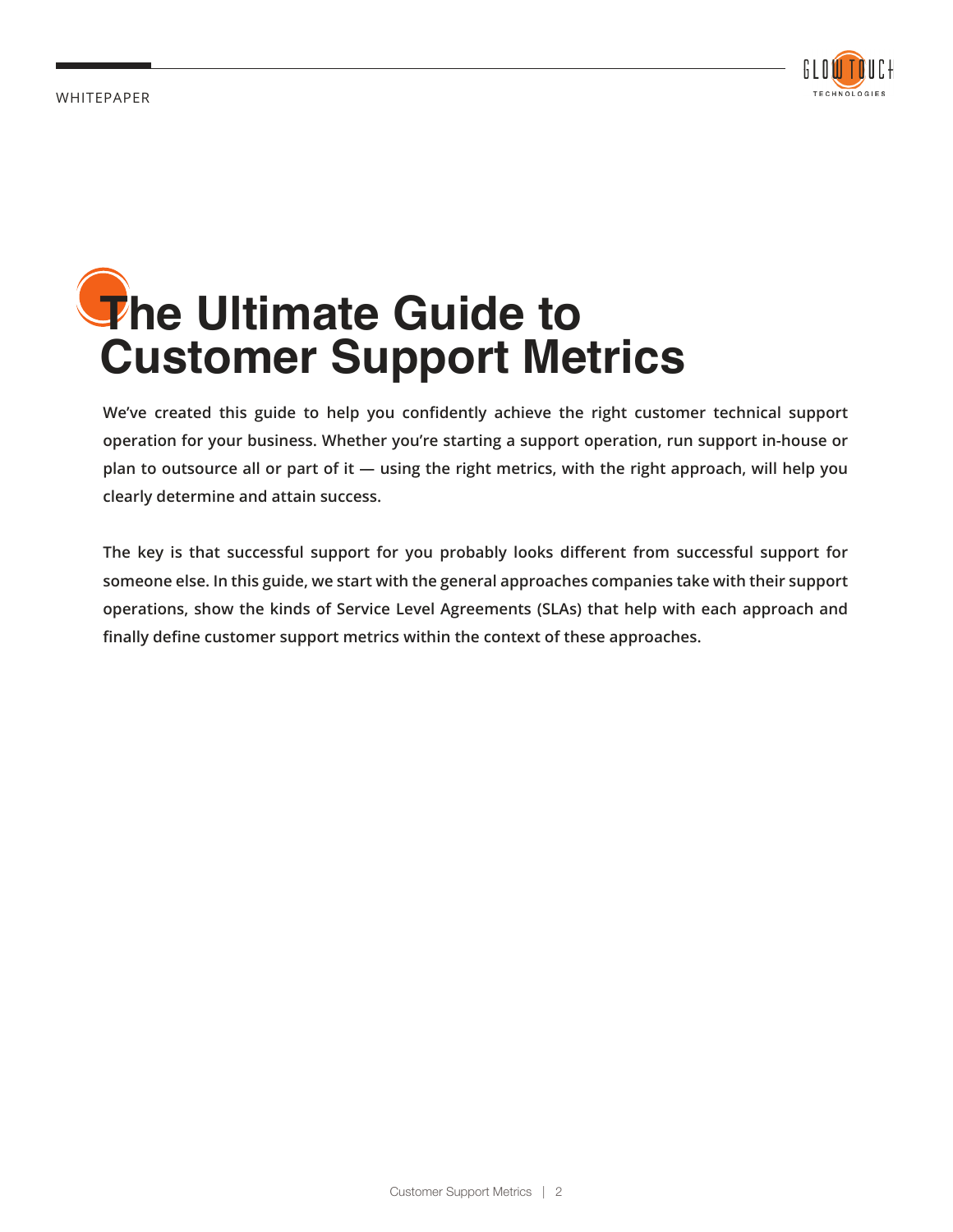

# **The Ultimate Guide to Customer Support Metrics**

**We've created this guide to help you confidently achieve the right customer technical support operation for your business. Whether you're starting a support operation, run support in-house or plan to outsource all or part of it — using the right metrics, with the right approach, will help you clearly determine and attain success.** 

**The key is that successful support for you probably looks different from successful support for someone else. In this guide, we start with the general approaches companies take with their support operations, show the kinds of Service Level Agreements (SLAs) that help with each approach and finally define customer support metrics within the context of these approaches.**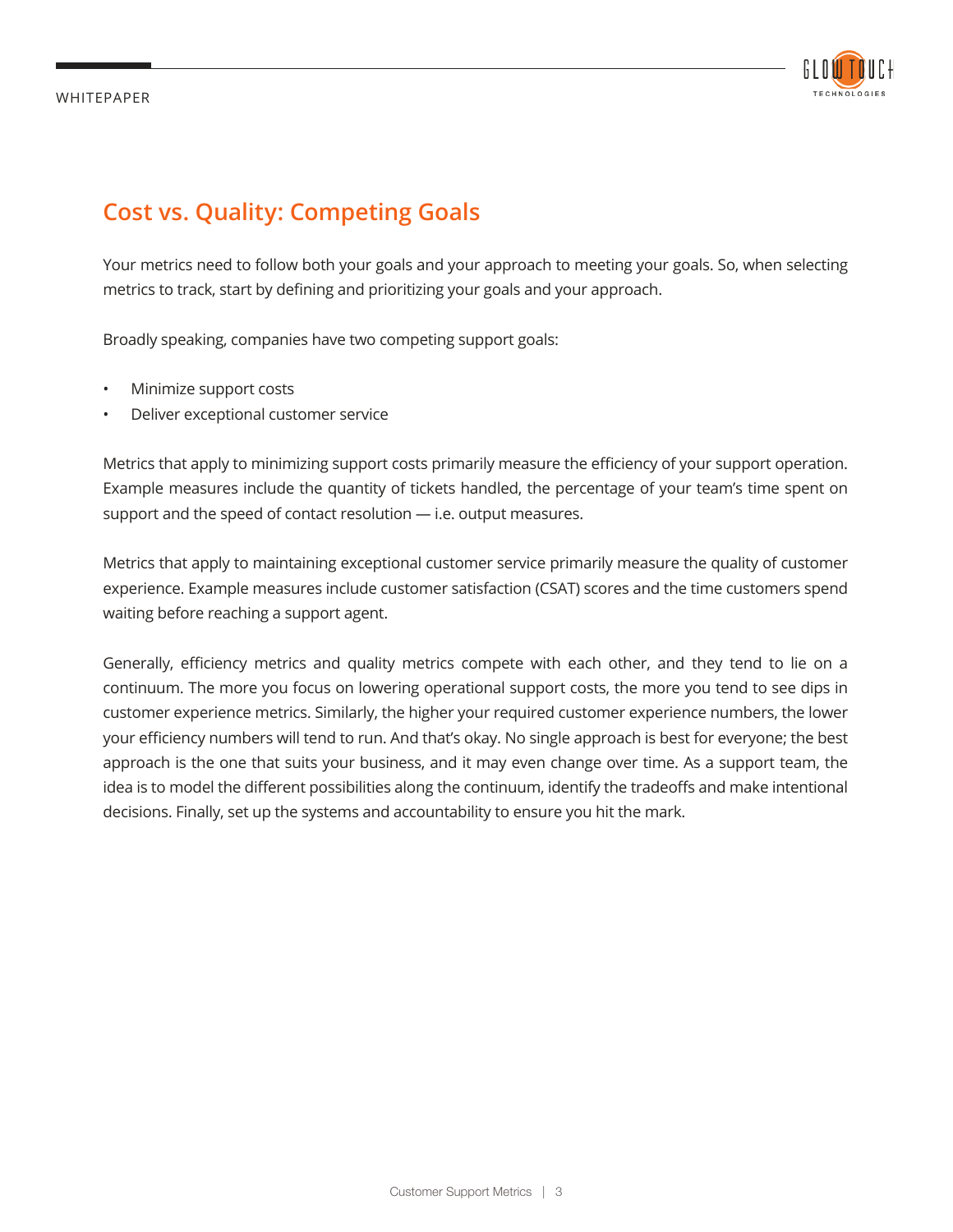

## **Cost vs. Quality: Competing Goals**

Your metrics need to follow both your goals and your approach to meeting your goals. So, when selecting metrics to track, start by defining and prioritizing your goals and your approach.

Broadly speaking, companies have two competing support goals:

- Minimize support costs
- Deliver exceptional customer service

Metrics that apply to minimizing support costs primarily measure the efficiency of your support operation. Example measures include the quantity of tickets handled, the percentage of your team's time spent on support and the speed of contact resolution — i.e. output measures.

Metrics that apply to maintaining exceptional customer service primarily measure the quality of customer experience. Example measures include customer satisfaction (CSAT) scores and the time customers spend waiting before reaching a support agent.

Generally, efficiency metrics and quality metrics compete with each other, and they tend to lie on a continuum. The more you focus on lowering operational support costs, the more you tend to see dips in customer experience metrics. Similarly, the higher your required customer experience numbers, the lower your efficiency numbers will tend to run. And that's okay. No single approach is best for everyone; the best approach is the one that suits your business, and it may even change over time. As a support team, the idea is to model the different possibilities along the continuum, identify the tradeoffs and make intentional decisions. Finally, set up the systems and accountability to ensure you hit the mark.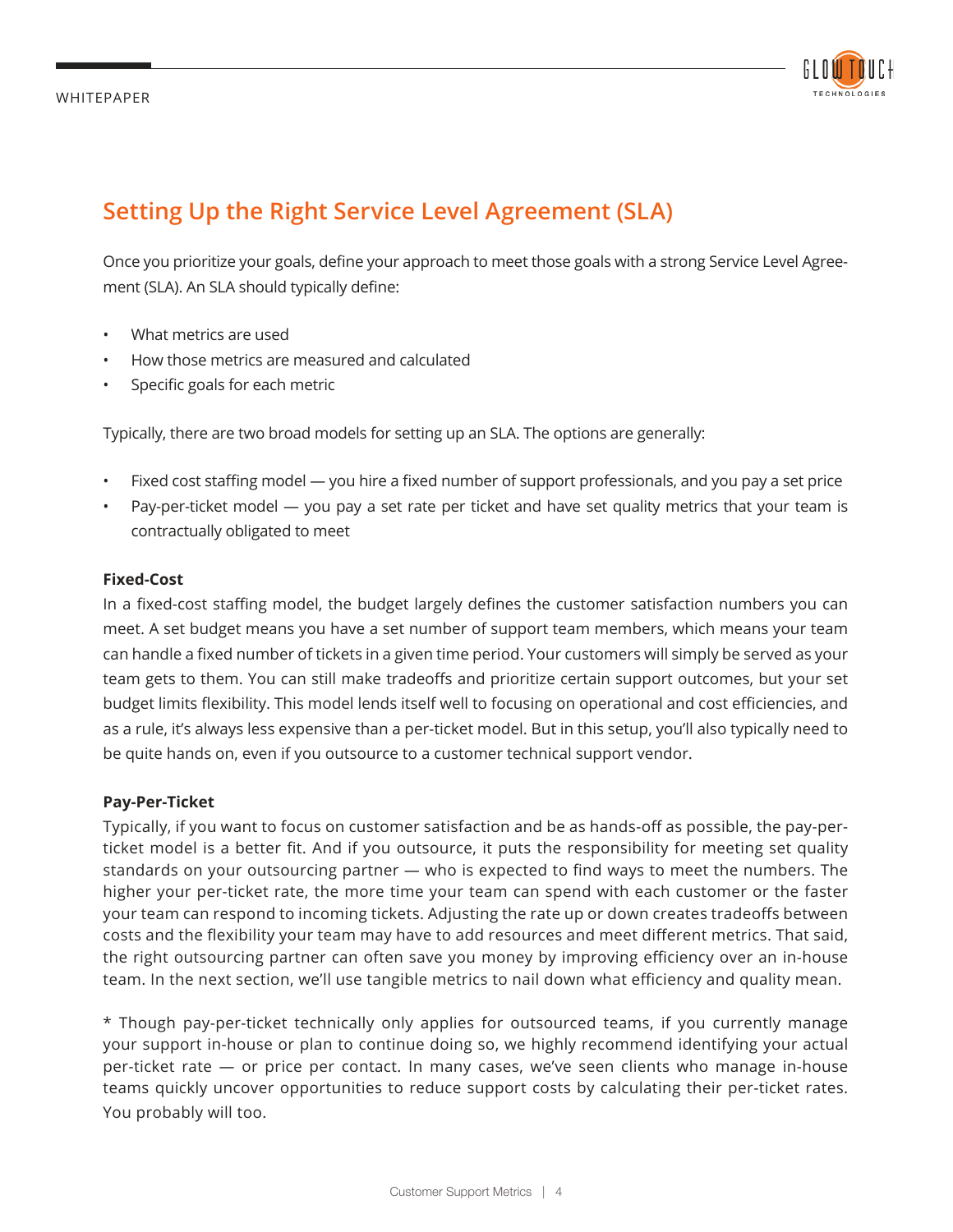

## **Setting Up the Right Service Level Agreement (SLA)**

Once you prioritize your goals, define your approach to meet those goals with a strong Service Level Agreement (SLA). An SLA should typically define:

- What metrics are used
- How those metrics are measured and calculated
- Specific goals for each metric

Typically, there are two broad models for setting up an SLA. The options are generally:

- Fixed cost staffing model you hire a fixed number of support professionals, and you pay a set price
- Pay-per-ticket model you pay a set rate per ticket and have set quality metrics that your team is contractually obligated to meet

#### **Fixed-Cost**

In a fixed-cost staffing model, the budget largely defines the customer satisfaction numbers you can meet. A set budget means you have a set number of support team members, which means your team can handle a fixed number of tickets in a given time period. Your customers will simply be served as your team gets to them. You can still make tradeoffs and prioritize certain support outcomes, but your set budget limits flexibility. This model lends itself well to focusing on operational and cost efficiencies, and as a rule, it's always less expensive than a per-ticket model. But in this setup, you'll also typically need to be quite hands on, even if you outsource to a customer technical support vendor.

#### **Pay-Per-Ticket**

Typically, if you want to focus on customer satisfaction and be as hands-off as possible, the pay-perticket model is a better fit. And if you outsource, it puts the responsibility for meeting set quality standards on your outsourcing partner — who is expected to find ways to meet the numbers. The higher your per-ticket rate, the more time your team can spend with each customer or the faster your team can respond to incoming tickets. Adjusting the rate up or down creates tradeoffs between costs and the flexibility your team may have to add resources and meet different metrics. That said, the right outsourcing partner can often save you money by improving efficiency over an in-house team. In the next section, we'll use tangible metrics to nail down what efficiency and quality mean.

\* Though pay-per-ticket technically only applies for outsourced teams, if you currently manage your support in-house or plan to continue doing so, we highly recommend identifying your actual per-ticket rate — or price per contact. In many cases, we've seen clients who manage in-house teams quickly uncover opportunities to reduce support costs by calculating their per-ticket rates. You probably will too.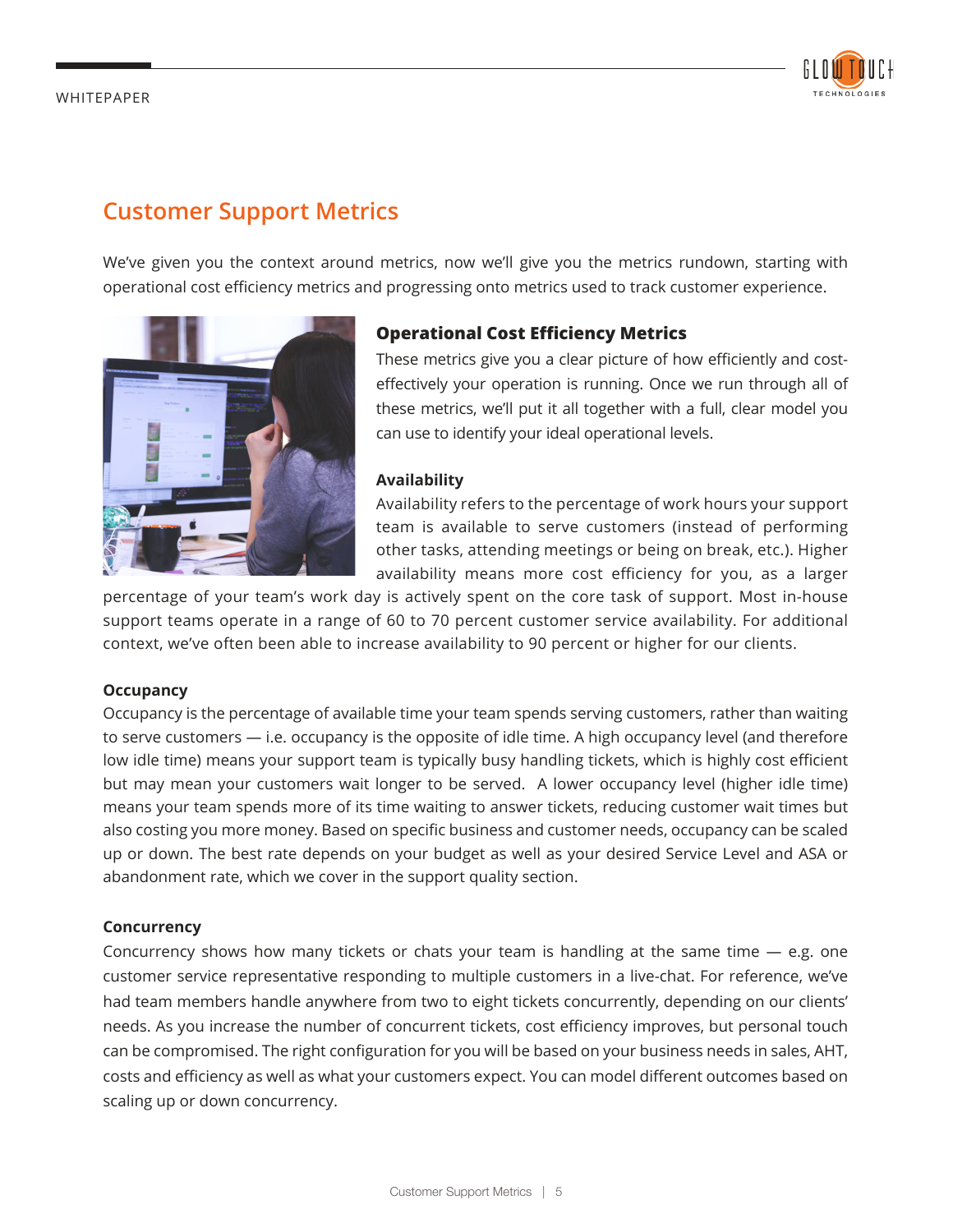

### **Customer Support Metrics**

We've given you the context around metrics, now we'll give you the metrics rundown, starting with operational cost efficiency metrics and progressing onto metrics used to track customer experience.



#### **Operational Cost Efficiency Metrics**

These metrics give you a clear picture of how efficiently and costeffectively your operation is running. Once we run through all of these metrics, we'll put it all together with a full, clear model you can use to identify your ideal operational levels.

#### **Availability**

Availability refers to the percentage of work hours your support team is available to serve customers (instead of performing other tasks, attending meetings or being on break, etc.). Higher availability means more cost efficiency for you, as a larger

percentage of your team's work day is actively spent on the core task of support. Most in-house support teams operate in a range of 60 to 70 percent customer service availability. For additional context, we've often been able to increase availability to 90 percent or higher for our clients.

#### **Occupancy**

Occupancy is the percentage of available time your team spends serving customers, rather than waiting to serve customers — i.e. occupancy is the opposite of idle time. A high occupancy level (and therefore low idle time) means your support team is typically busy handling tickets, which is highly cost efficient but may mean your customers wait longer to be served. A lower occupancy level (higher idle time) means your team spends more of its time waiting to answer tickets, reducing customer wait times but also costing you more money. Based on specific business and customer needs, occupancy can be scaled up or down. The best rate depends on your budget as well as your desired Service Level and ASA or abandonment rate, which we cover in the support quality section.

#### **Concurrency**

Concurrency shows how many tickets or chats your team is handling at the same time — e.g. one customer service representative responding to multiple customers in a live-chat. For reference, we've had team members handle anywhere from two to eight tickets concurrently, depending on our clients' needs. As you increase the number of concurrent tickets, cost efficiency improves, but personal touch can be compromised. The right configuration for you will be based on your business needs in sales, AHT, costs and efficiency as well as what your customers expect. You can model different outcomes based on scaling up or down concurrency.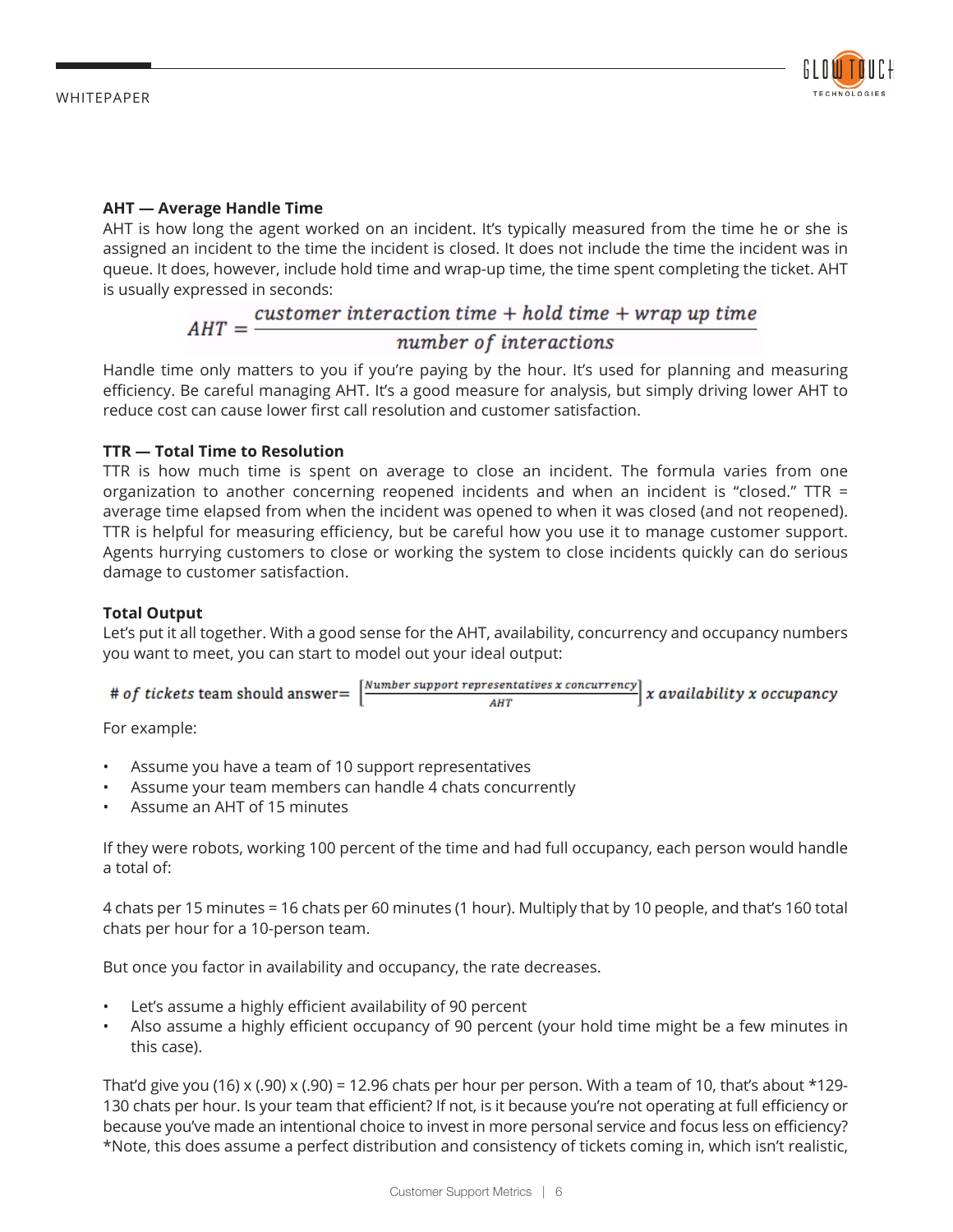

#### **AHT — Average Handle Time**

AHT is how long the agent worked on an incident. It's typically measured from the time he or she is assigned an incident to the time the incident is closed. It does not include the time the incident was in queue. It does, however, include hold time and wrap-up time, the time spent completing the ticket. AHT

## is usually expressed in seconds:<br> $AHT = \frac{customer\ interaction\ time + hold\ time + wrap\ up\ time}$ number of interactions

Handle time only matters to you if you're paying by the hour. It's used for planning and measuring efficiency. Be careful managing AHT. It's a good measure for analysis, but simply driving lower AHT to reduce cost can cause lower first call resolution and customer satisfaction.

#### **TTR — Total Time to Resolution**

TTR is how much time is spent on average to close an incident. The formula varies from one organization to another concerning reopened incidents and when an incident is "closed." TTR = average time elapsed from when the incident was opened to when it was closed (and not reopened). TTR is helpful for measuring efficiency, but be careful how you use it to manage customer support. Agents hurrying customers to close or working the system to close incidents quickly can do serious damage to customer satisfaction.

#### **Total Output**

Let's put it all together. With a good sense for the AHT, availability, concurrency and occupancy numbers you want to meet, you can start to model out your ideal output:

| # of tickets team should answer= $\vert$ |  | $\small \textcolor{red}{  \textit{Number support representatives x concurrency}  } \textit{x available} \textit{lity x occupancy}  } \normalsize \textcolor{red}{  \textit{x available} } \textit{itx accuracy}  } \normalsize \textcolor{red}{  \textit{x available} } \textit{x accuracy}  } \normalsize \textcolor{red}{  \textit{x available} } \textit{x accuracy}  } \normalsize \textcolor{red}{  \textit{x available} } \textit{x accuracy}  } \normalsize \textcolor{red}{  \textit{x available} } \textit{x accuracy}  } \normalsize \textcolor{red}{  \textit{x available} } \textit{x accuracy}  } \normalsize \textcolor{red}{  \$ |
|------------------------------------------|--|-------------------------------------------------------------------------------------------------------------------------------------------------------------------------------------------------------------------------------------------------------------------------------------------------------------------------------------------------------------------------------------------------------------------------------------------------------------------------------------------------------------------------------------------------------------------------------------------------------------------------------------------------|
|                                          |  |                                                                                                                                                                                                                                                                                                                                                                                                                                                                                                                                                                                                                                                 |

For example:

- Assume you have a team of 10 support representatives
- Assume your team members can handle 4 chats concurrently
- Assume an AHT of 15 minutes

If they were robots, working 100 percent of the time and had full occupancy, each person would handle a total of:

4 chats per 15 minutes = 16 chats per 60 minutes (1 hour). Multiply that by 10 people, and that's 160 total chats per hour for a 10-person team.

But once you factor in availability and occupancy, the rate decreases.

- Let's assume a highly efficient availability of 90 percent
- Also assume a highly efficient occupancy of 90 percent (your hold time might be a few minutes in this case).

That'd give you (16) x (.90) x (.90) = 12.96 chats per hour per person. With a team of 10, that's about \*129-130 chats per hour. Is your team that efficient? If not, is it because you're not operating at full efficiency or because you've made an intentional choice to invest in more personal service and focus less on efficiency? \*Note, this does assume a perfect distribution and consistency of tickets coming in, which isn't realistic,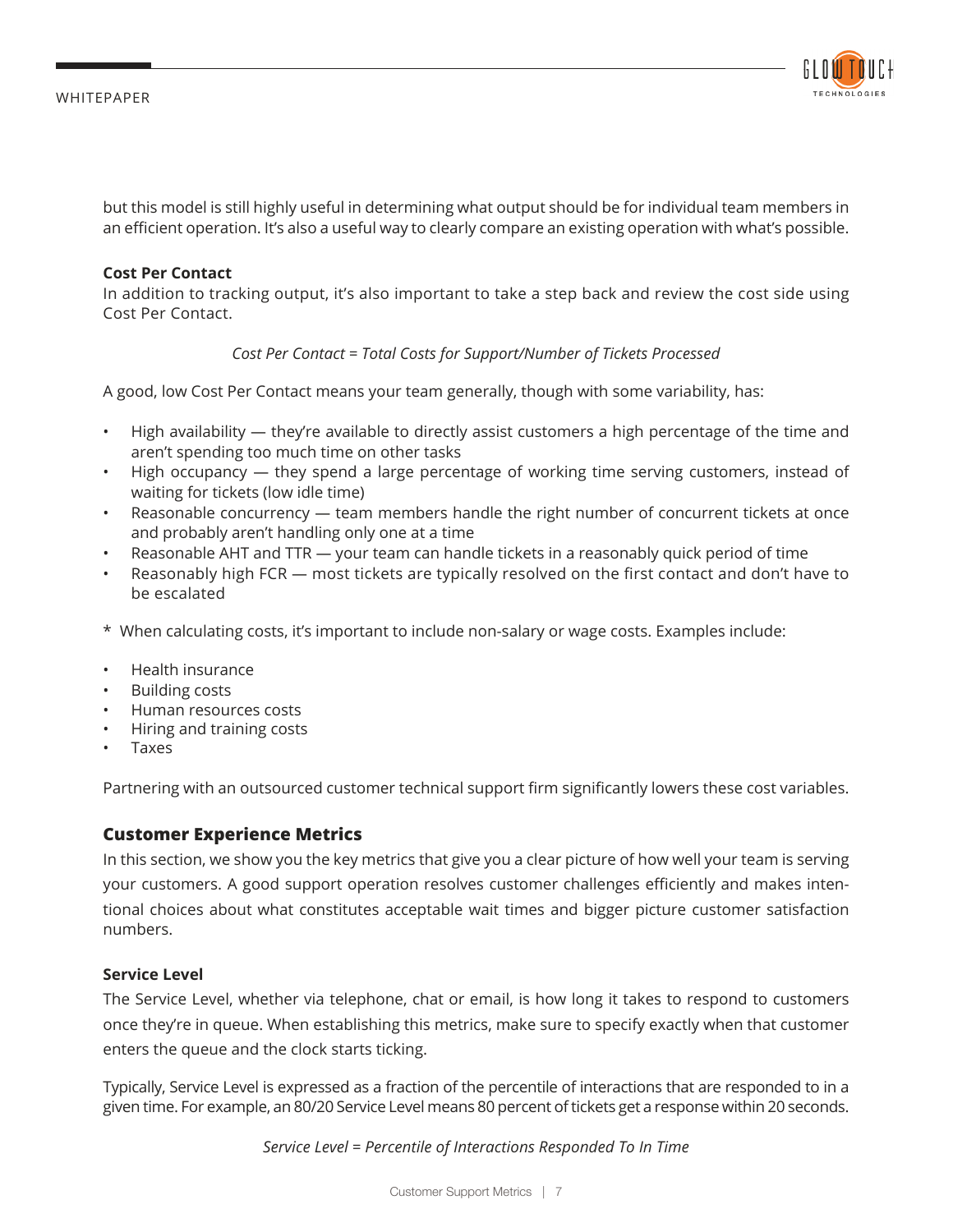

but this model is still highly useful in determining what output should be for individual team members in an efficient operation. It's also a useful way to clearly compare an existing operation with what's possible.

#### **Cost Per Contact**

In addition to tracking output, it's also important to take a step back and review the cost side using Cost Per Contact.

#### *Cost Per Contact = Total Costs for Support/Number of Tickets Processed*

A good, low Cost Per Contact means your team generally, though with some variability, has:

- High availability they're available to directly assist customers a high percentage of the time and aren't spending too much time on other tasks
- High occupancy they spend a large percentage of working time serving customers, instead of waiting for tickets (low idle time)
- Reasonable concurrency team members handle the right number of concurrent tickets at once and probably aren't handling only one at a time
- Reasonable AHT and TTR your team can handle tickets in a reasonably quick period of time
- Reasonably high FCR most tickets are typically resolved on the first contact and don't have to be escalated
- \* When calculating costs, it's important to include non-salary or wage costs. Examples include:
- Health insurance
- Building costs
- Human resources costs
- Hiring and training costs
- Taxes

Partnering with an outsourced customer technical support firm significantly lowers these cost variables.

#### **Customer Experience Metrics**

In this section, we show you the key metrics that give you a clear picture of how well your team is serving your customers. A good support operation resolves customer challenges efficiently and makes intentional choices about what constitutes acceptable wait times and bigger picture customer satisfaction numbers.

#### **Service Level**

The Service Level, whether via telephone, chat or email, is how long it takes to respond to customers once they're in queue. When establishing this metrics, make sure to specify exactly when that customer enters the queue and the clock starts ticking.

Typically, Service Level is expressed as a fraction of the percentile of interactions that are responded to in a given time. For example, an 80/20 Service Level means 80 percent of tickets get a response within 20 seconds.

*Service Level = Percentile of Interactions Responded To In Time*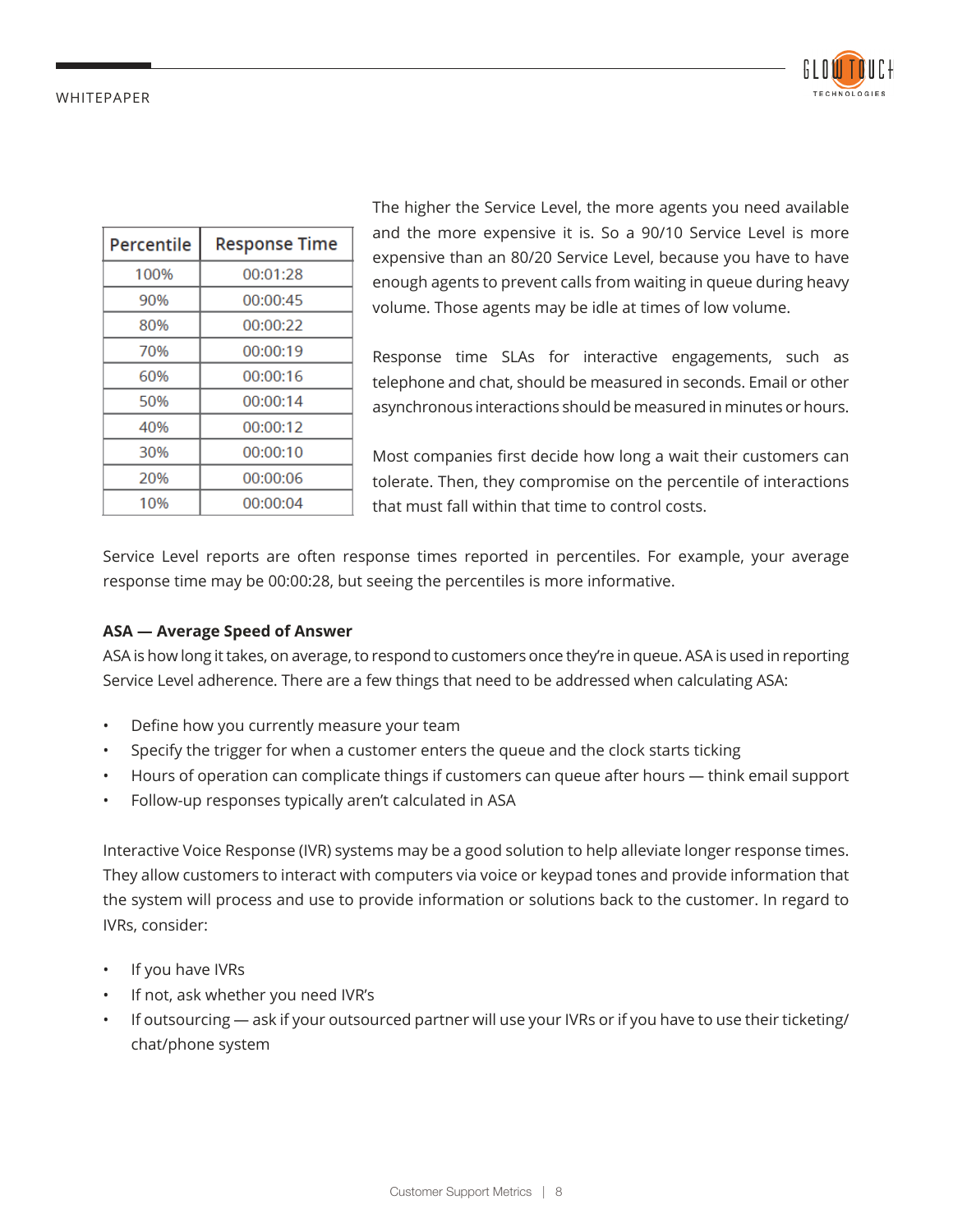

| Percentile | <b>Response Time</b> |
|------------|----------------------|
| 100%       | 00:01:28             |
| 90%        | 00:00:45             |
| 80%        | 00:00:22             |
| 70%        | 00:00:19             |
| 60%        | 00:00:16             |
| 50%        | 00:00:14             |
| 40%        | 00:00:12             |
| 30%        | 00:00:10             |
| 20%        | 00:00:06             |
| 10%        | 00:00:04             |

The higher the Service Level, the more agents you need available and the more expensive it is. So a 90/10 Service Level is more expensive than an 80/20 Service Level, because you have to have enough agents to prevent calls from waiting in queue during heavy volume. Those agents may be idle at times of low volume.

Response time SLAs for interactive engagements, such as telephone and chat, should be measured in seconds. Email or other asynchronous interactions should be measured in minutes or hours.

Most companies first decide how long a wait their customers can tolerate. Then, they compromise on the percentile of interactions that must fall within that time to control costs.

Service Level reports are often response times reported in percentiles. For example, your average response time may be 00:00:28, but seeing the percentiles is more informative.

#### **ASA — Average Speed of Answer**

ASA is how long it takes, on average, to respond to customers once they're in queue. ASA is used in reporting Service Level adherence. There are a few things that need to be addressed when calculating ASA:

- Define how you currently measure your team
- Specify the trigger for when a customer enters the queue and the clock starts ticking
- Hours of operation can complicate things if customers can queue after hours think email support
- Follow-up responses typically aren't calculated in ASA

Interactive Voice Response (IVR) systems may be a good solution to help alleviate longer response times. They allow customers to interact with computers via voice or keypad tones and provide information that the system will process and use to provide information or solutions back to the customer. In regard to IVRs, consider:

- If you have IVRs
- If not, ask whether you need IVR's
- If outsourcing ask if your outsourced partner will use your IVRs or if you have to use their ticketing/ chat/phone system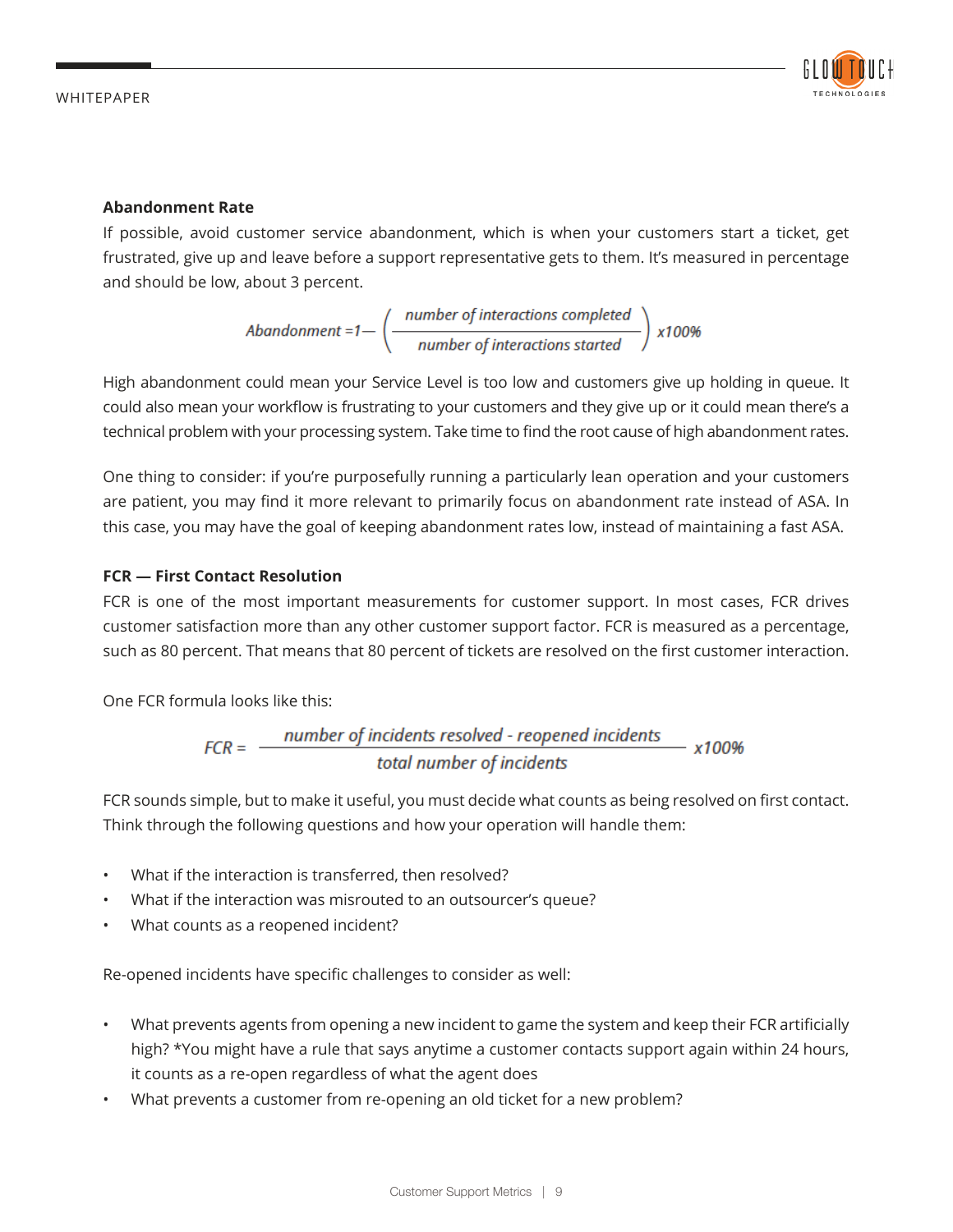

#### **Abandonment Rate**

If possible, avoid customer service abandonment, which is when your customers start a ticket, get frustrated, give up and leave before a support representative gets to them. It's measured in percentage and should be low, about 3 percent.

$$
Abandoment = 1 - \left(\frac{number\ of\ interactions\ completed}{number\ of\ interactions\ started}\right) \times 100\%
$$

High abandonment could mean your Service Level is too low and customers give up holding in queue. It could also mean your workflow is frustrating to your customers and they give up or it could mean there's a technical problem with your processing system. Take time to find the root cause of high abandonment rates.

One thing to consider: if you're purposefully running a particularly lean operation and your customers are patient, you may find it more relevant to primarily focus on abandonment rate instead of ASA. In this case, you may have the goal of keeping abandonment rates low, instead of maintaining a fast ASA.

#### **FCR — First Contact Resolution**

FCR is one of the most important measurements for customer support. In most cases, FCR drives customer satisfaction more than any other customer support factor. FCR is measured as a percentage, such as 80 percent. That means that 80 percent of tickets are resolved on the first customer interaction.

One FCR formula looks like this:

$$
FCR = \frac{number\ of\ includes\ resolved - reopened\ includes}{total\ number\ of\ includes}
$$

FCR sounds simple, but to make it useful, you must decide what counts as being resolved on first contact. Think through the following questions and how your operation will handle them:

- What if the interaction is transferred, then resolved?
- What if the interaction was misrouted to an outsourcer's queue?
- What counts as a reopened incident?

Re-opened incidents have specific challenges to consider as well:

- What prevents agents from opening a new incident to game the system and keep their FCR artificially high? \*You might have a rule that says anytime a customer contacts support again within 24 hours, it counts as a re-open regardless of what the agent does
- What prevents a customer from re-opening an old ticket for a new problem?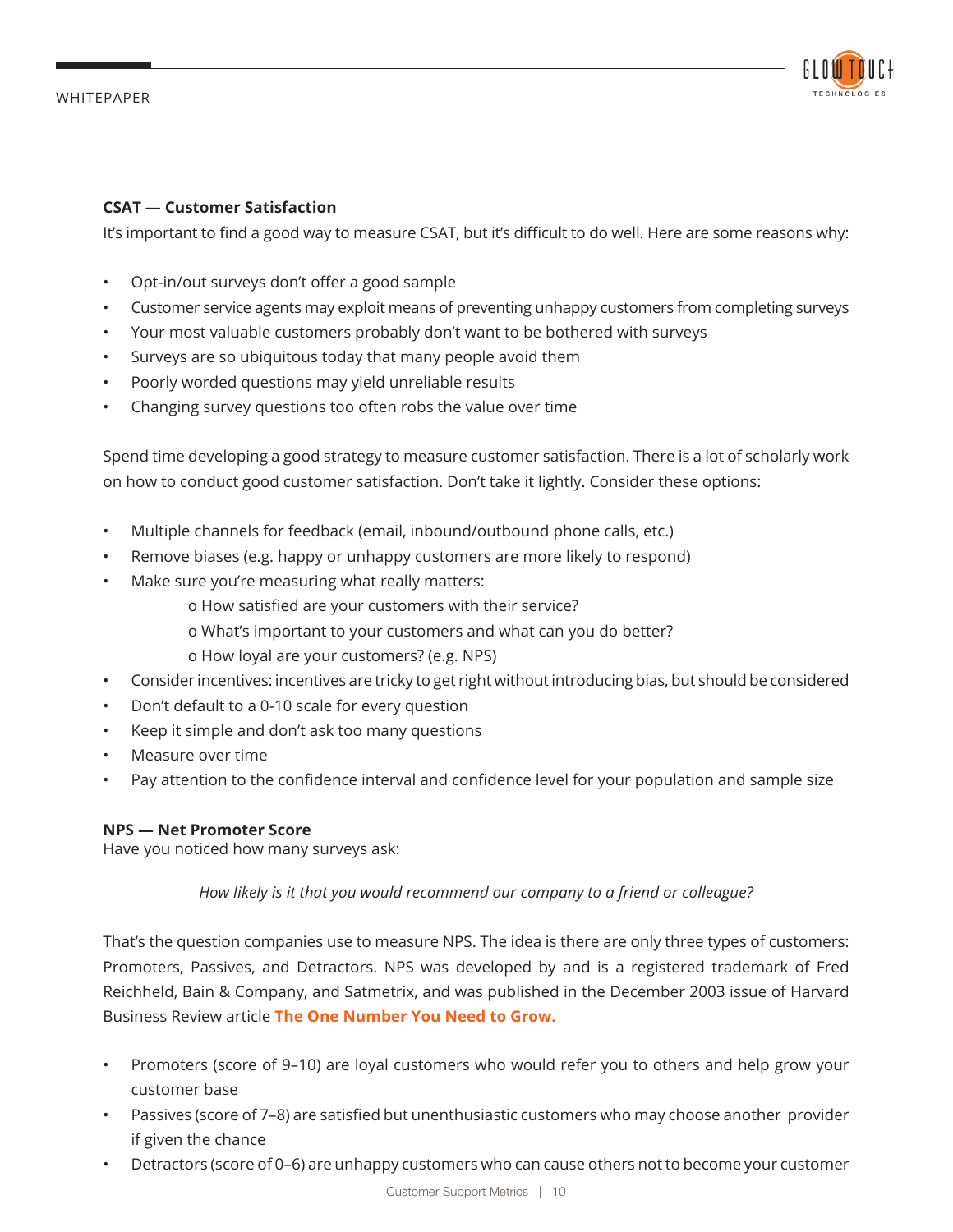

#### **CSAT — Customer Satisfaction**

It's important to find a good way to measure CSAT, but it's difficult to do well. Here are some reasons why:

- Opt-in/out surveys don't offer a good sample
- Customer service agents may exploit means of preventing unhappy customers from completing surveys
- Your most valuable customers probably don't want to be bothered with surveys
- Surveys are so ubiquitous today that many people avoid them
- Poorly worded questions may yield unreliable results
- Changing survey questions too often robs the value over time

Spend time developing a good strategy to measure customer satisfaction. There is a lot of scholarly work on how to conduct good customer satisfaction. Don't take it lightly. Consider these options:

- Multiple channels for feedback (email, inbound/outbound phone calls, etc.)
- Remove biases (e.g. happy or unhappy customers are more likely to respond)
- Make sure you're measuring what really matters:
	- o How satisfied are your customers with their service?
	- o What's important to your customers and what can you do better?
	- o How loyal are your customers? (e.g. NPS)
- Consider incentives: incentives are tricky to get right without introducing bias, but should be considered
- Don't default to a 0-10 scale for every question
- Keep it simple and don't ask too many questions
- Measure over time
- Pay attention to the confidence interval and confidence level for your population and sample size

#### **NPS — Net Promoter Score**

Have you noticed how many surveys ask:

*How likely is it that you would recommend our company to a friend or colleague?*

That's the question companies use to measure NPS. The idea is there are only three types of customers: Promoters, Passives, and Detractors. NPS was developed by and is a registered trademark of Fred Reichheld, Bain & Company, and Satmetrix, and was published in the December 2003 issue of Harvard Business Review article **The One Number You Need to Grow.**

- Promoters (score of 9–10) are loyal customers who would refer you to others and help grow your customer base
- Passives (score of 7–8) are satisfied but unenthusiastic customers who may choose another provider if given the chance
- Detractors (score of 0–6) are unhappy customers who can cause others not to become your customer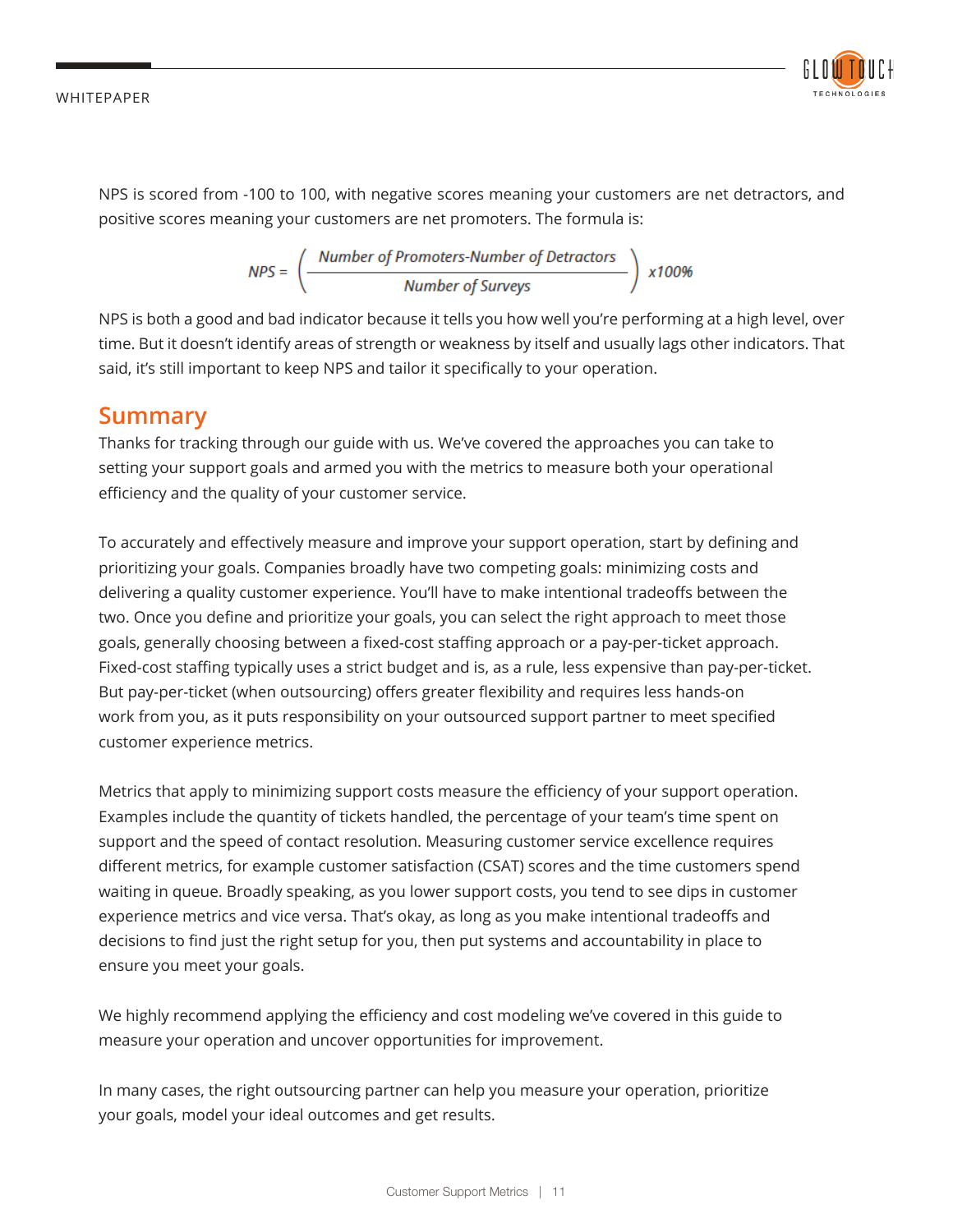

NPS is scored from -100 to 100, with negative scores meaning your customers are net detractors, and positive scores meaning your customers are net promoters. The formula is:

$$
NPS = \left(\frac{\text{Number of Promoters-Number of Detractors}}{\text{Number of Surveys}}\right) \times 100\%
$$

NPS is both a good and bad indicator because it tells you how well you're performing at a high level, over time. But it doesn't identify areas of strength or weakness by itself and usually lags other indicators. That said, it's still important to keep NPS and tailor it specifically to your operation.

## **Summary**

Thanks for tracking through our guide with us. We've covered the approaches you can take to setting your support goals and armed you with the metrics to measure both your operational efficiency and the quality of your customer service.

To accurately and effectively measure and improve your support operation, start by defining and prioritizing your goals. Companies broadly have two competing goals: minimizing costs and delivering a quality customer experience. You'll have to make intentional tradeoffs between the two. Once you define and prioritize your goals, you can select the right approach to meet those goals, generally choosing between a fixed-cost staffing approach or a pay-per-ticket approach. Fixed-cost staffing typically uses a strict budget and is, as a rule, less expensive than pay-per-ticket. But pay-per-ticket (when outsourcing) offers greater flexibility and requires less hands-on work from you, as it puts responsibility on your outsourced support partner to meet specified customer experience metrics.

Metrics that apply to minimizing support costs measure the efficiency of your support operation. Examples include the quantity of tickets handled, the percentage of your team's time spent on support and the speed of contact resolution. Measuring customer service excellence requires different metrics, for example customer satisfaction (CSAT) scores and the time customers spend waiting in queue. Broadly speaking, as you lower support costs, you tend to see dips in customer experience metrics and vice versa. That's okay, as long as you make intentional tradeoffs and decisions to find just the right setup for you, then put systems and accountability in place to ensure you meet your goals.

We highly recommend applying the efficiency and cost modeling we've covered in this guide to measure your operation and uncover opportunities for improvement.

In many cases, the right outsourcing partner can help you measure your operation, prioritize your goals, model your ideal outcomes and get results.